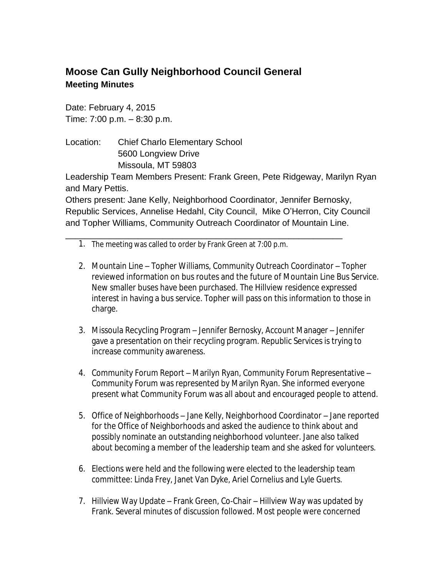## **Moose Can Gully Neighborhood Council General Meeting Minutes**

Date: February 4, 2015 Time: 7:00 p.m. – 8:30 p.m.

Location: Chief Charlo Elementary School 5600 Longview Drive Missoula, MT 59803

Leadership Team Members Present: Frank Green, Pete Ridgeway, Marilyn Ryan and Mary Pettis.

Others present: Jane Kelly, Neighborhood Coordinator, Jennifer Bernosky, Republic Services, Annelise Hedahl, City Council, Mike O'Herron, City Council and Topher Williams, Community Outreach Coordinator of Mountain Line.

\_\_\_\_\_\_\_\_\_\_\_\_\_\_\_\_\_\_\_\_\_\_\_\_\_\_\_\_\_\_\_\_\_\_\_\_\_\_\_\_\_\_\_\_\_\_\_\_\_\_\_\_\_\_\_\_\_

- 1. The meeting was called to order by Frank Green at 7:00 p.m.
- 2. Mountain Line Topher Williams, Community Outreach Coordinator Topher reviewed information on bus routes and the future of Mountain Line Bus Service. New smaller buses have been purchased. The Hillview residence expressed interest in having a bus service. Topher will pass on this information to those in charge.
- 3. Missoula Recycling Program Jennifer Bernosky, Account Manager Jennifer gave a presentation on their recycling program. Republic Services is trying to increase community awareness.
- 4. Community Forum Report Marilyn Ryan, Community Forum Representative Community Forum was represented by Marilyn Ryan. She informed everyone present what Community Forum was all about and encouraged people to attend.
- 5. Office of Neighborhoods Jane Kelly, Neighborhood Coordinator Jane reported for the Office of Neighborhoods and asked the audience to think about and possibly nominate an outstanding neighborhood volunteer. Jane also talked about becoming a member of the leadership team and she asked for volunteers.
- 6. Elections were held and the following were elected to the leadership team committee: Linda Frey, Janet Van Dyke, Ariel Cornelius and Lyle Guerts.
- 7. Hillview Way Update Frank Green, Co-Chair Hillview Way was updated by Frank. Several minutes of discussion followed. Most people were concerned